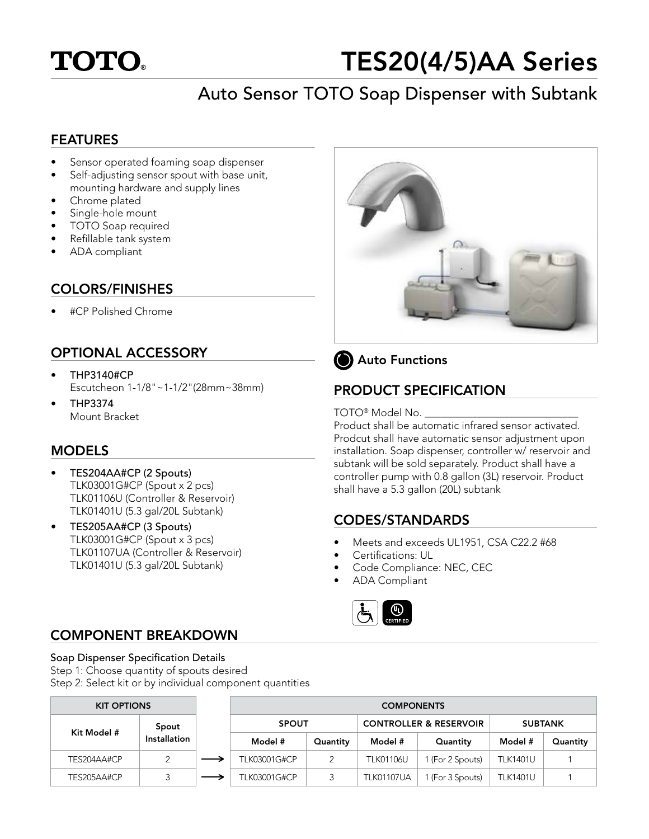

# TES20(4/5)AA Series

## Auto Sensor TOTO Soap Dispenser with Subtank

#### FEATURES

- Sensor operated foaming soap dispenser
- Self-adjusting sensor spout with base unit, mounting hardware and supply lines
- Chrome plated
- Single-hole mount
- TOTO Soap required
- Refillable tank system
- ADA compliant

#### COLORS/FINISHES

• #CP Polished Chrome

#### OPTIONAL ACCESSORY

- THP3140#CP Escutcheon 1-1/8"~1-1/2"(28mm~38mm)
- THP3374 Mount Bracket

#### MODELS

- TES204AA#CP (2 Spouts) TLK03001G#CP (Spout x 2 pcs) TLK01106U (Controller & Reservoir) TLK01401U (5.3 gal/20L Subtank)
- TES205AA#CP (3 Spouts) TLK03001G#CP (Spout x 3 pcs) TLK01107UA (Controller & Reservoir) TLK01401U (5.3 gal/20L Subtank)





#### PRODUCT SPECIFICATION

#### TOTO® Model No.

Product shall be automatic infrared sensor activated. Prodcut shall have automatic sensor adjustment upon installation. Soap dispenser, controller w/ reservoir and subtank will be sold separately. Product shall have a controller pump with 0.8 gallon (3L) reservoir. Product shall have a 5.3 gallon (20L) subtank

#### CODES/STANDARDS

- Meets and exceeds UL1951, CSA C22.2 #68
- Certifications: UL
- Code Compliance: NEC, CEC
- ADA Compliant



#### COMPONENT BREAKDOWN

#### Soap Dispenser Specification Details

Step 1: Choose quantity of spouts desired

Step 2: Select kit or by individual component quantities

| <b>KIT OPTIONS</b> |                             | <b>COMPONENTS</b>   |                                   |                   |                  |                 |          |
|--------------------|-----------------------------|---------------------|-----------------------------------|-------------------|------------------|-----------------|----------|
| Spout              | <b>SPOUT</b>                |                     | <b>CONTROLLER &amp; RESERVOIR</b> |                   | <b>SUBTANK</b>   |                 |          |
|                    | Kit Model #<br>Installation | Model #             | Quantity                          | Model #           | Quantity         | Model #         | Quantity |
| TES204AA#CP        |                             | <b>TLK03001G#CP</b> | 2                                 | <b>TLK01106U</b>  | l (For 2 Spouts) | <b>TLK1401U</b> |          |
| TES205AA#CP        |                             | <b>TLK03001G#CP</b> | 3                                 | <b>TLK01107UA</b> | (For 3 Spouts)   | <b>TLK1401U</b> |          |